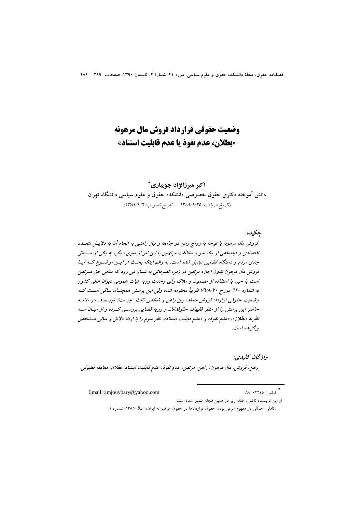# وضعت حقوقي قرارداد فروش مال مرهونه «بطلان، عدم نفوذ يا عدم قابليت استناد»

اکبر میرزانژاد جویباری\* دانش اًموخته دکتری حقوق خصوصی دانشکده حقوق و علوم سیاسی دانشگاه تهران (تاريخ دريافت: ١٣٨٨/١/٢٥ - تاريخ تصويب: ١٣٨٩/٩/٦)

چکیده: قروش مال مرهونه با توجه به رواج رهن در جامعه و نیاز راهنین به انجام آن به دلایس متعبدد اقتصادی و اجتماعی از یک سو و مخالفت مرتهنین با این امر از سوی دیگر، به یکی از مسائل جدی مردم و دستگاه قضایی تبدیل شده است. به رغم اینکه بحث از ایس موضوع کـه آیـا قروش مال مرهون بدون اجازه مرتهن در زمره تصرفاتی به شمار می رود که منافی حق میرتهن است یا خیر، با استفاده از مضمون و ملاک رأی وحدت رویه هیات عمومی دیوان عالی کشور به شماره ٦٢٠ مورخ ٧٦/٨/٢٠ تقريباً مختومه شده ولي اين پرسش همچنسان بساقي است كــه وضعیت حقوقی قرارداد فروش منعقده بین راهن و شخص ثالث حیست؟ نویسسنده در مقالبه حاضر این پرسش را از منظر فقیهان، حقوقدانان و رویه قضایی بررستی کسرده و از میسان سه نظریه «بطلان»، «عدم نفوذ» و «عدم قابلیت استناد»، نظر سوم را با ارائه دلایل و مبانبی مشخص ېږگزېده است.

واۋىچان كىلىدى: رهن، فروش، مال مرهون، راهن، مرتهن، عدم نفوذ، عدم قابليت استناد، بطلان، معامله فضولي.

Email: amjouybary@yahoo.com

\*<br>\* فاكس: ٨٨٠٠٢٢٤٥

از این نویسنده تاکنون مقاله زیر در همین مجله منتشر شده است:

«تاملی اجمالی در مفهوم عرفی بودن حقوق قراردادها در حقوق موضوعه ایران»، سال ۱۳۸۸، شماره ۱.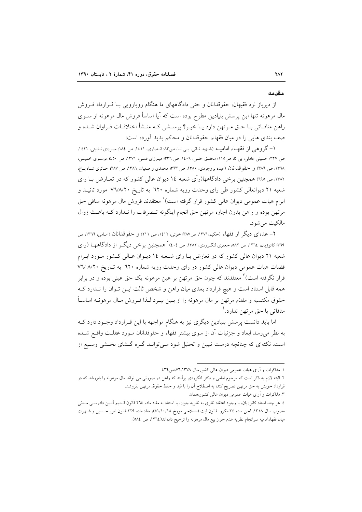#### مقدمه

از دیرباز نزد فقیهان، حقوقدانان و حتی دادگاههای ما هنگام رویارویی بـا قـرارداد فـروش مال مرهونه تنها این پرسش بنیادین مطرح بوده است که آیا اساساً فروش مال مرهونه از ســوی راهن منافـاتي بــا حــق مــرتهن دارد يــا خيــر؟ پرســشي كــه منــشأ اختلافــات فــراوان شــده و صف بندی هایی را در میان فقهاء، حقوقدانان و محاکم یدید آورده است:

١- گروهي از فقهـاء اماميــه (شـهيد ثـاني، بـي تـا، ص٣٣ انـصاري، ١٤١١، ص ١٨٤؛ ميـرزاي نـائيني، ١٤٢١، ص ٣٢٧: حسینی عاملی، بی تا، ص١١٥؛ محقـق حلـی، ١٤٠٩، ص ٣٣٦؛ میـرزای قمـی، ١٣٧١، ص ٤٥٠؛ موسـوی خمینـی، ١٣٦٨، ص ٣٨٦) و حقوقدانان (عبده بروجردي، ١٣٨٠، ص ٣٦٣؛ محمدي و صفيان، ١٣٨٦، ص ٢٨٧؛ حـائري شــاه بــاغ، ۱۳۸۲، ص ۱۹۵) همچنین برخی دادگاهها(رأی شعبه ۱٤ دیوان عالی کشور که در تعــارض بــا رای شعبه ۲۱ دیوانعالی کشور طی رای وحدت رویه شماره ۲۲۰ به تاریخ ۷٦/۸/۲۰ مورد تائیـد و ابرام هیات عمومی دیوان عالی کشور قرار گرفته است)` معتقدند فروش مال مرهونه منافی حق مرتهن بوده و راهن بدون اجازه مرتهن حق انجام اینگونه تـصرفات را نـدارد کـه باعـث زوال مالکت مے شود.

٢– عدماي ديگر از فقهاء (حکيم،١٣٧١، ص٣٨٧: خوئي، ١٤١٢، ص ٢١١) و حقوقدانان (امـام ِ, ١٣٦٦، ص ۳٦٩؛ کاتوزیان، ١٣٦٤، ص ٥٨٢، جعفری لنگـرودی، ١٣٨٢، ص ٤٠٤<sup>٢</sup> هـمچنین بو خبی دیگــر از دادگاههـــا (رای شعبه ۲۱ دیوان عالی کشور که در تعارض بـا رای شـعبه ۱٤ دیـوان عـالی کـشور مـورد ابـرام قضات هیات عمومی دیوان عالی کشور در رای وحدت رویه شماره ٦٢٠ به تاریخ ٧٦/ ٨/٢٠ قرار نگرفته است)<sup>۲</sup> معتقدند که چون حق مرتهن بر عین مرهونه یک حق عینی بوده و در برابر همه قابل استناد است و هیچ قرارداد بعدی میان راهن و شخص ثالث ایـن تـوان را نـدارد کـه حقوق مکتسبه و مقدّم مرتهن بر مال مرهونه را از بــین ببــرد لــذا فــروش مــال مرهونــه اساســاً منافاتی با حق مرتهن ندارد.<sup>٤</sup>

اما باید دانست پرسش بنیادین دیگری نیز به هنگام مواجهه با این قـرارداد وجـود دارد کـه به نظر میرسد ابعاد و جزئیات آن از سوی بیشتر فقهاء و حقوقدانان مـورد غفلـت واقـع شـده است. نکتهای که چنانچه درست تبیین و تحلیل شود مـی توانــد گــره گــشای بخــشی وســیع از

١. مذاکرات و آرای هیات عمومی دیوان عالی کشورسال ٧٦،١٣٧٨،ص ٤٣٤.

۲. البته لازم به ذکر است که مرحوم امامی و دکتر لنگرودی برآنند که راهن در صورتی می تواند مال مرهونه را بفروشد که در قرارداد خویش به حق مرتهن تصریح کند؛ به اصطلاح آن را با قید و حفظ حقوق مرتهن بفروشد.

۳. مذاکرات و آرای هیات عمومی دیوان عالی کشور،همان.

٤. هر چند استاد كاتوزيان، با وجود اعتقاد نظرى به نظريه جواز، با استناد به مفاد ماده ٢٦٤ قانون قـديم أئـين دادرسـي مـدني مصوب سال ۱۳۱۸، لحن ماده ۳٤ مكرر قانون ثبت (اصلاحي مورخ ٥١/١٠/١٨)، مفاد ماده ٢٢٩ قانون امور حسببي و شـهرت ميان فقهاءاماميه سرانجام نظريه عدم جواز بيع مال مرهونه را ترجيح دادهاند(١٣٦٤، ص ٥٨٤).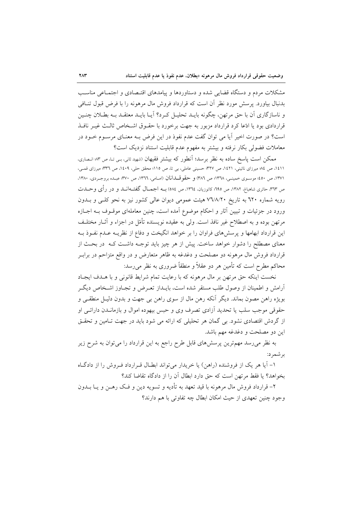مشکلات مردم و دستگاه قضایی شده و دستاوردها و پیامدهای اقتـصادی و اجتمـاعی مناسـب بدنبال بیاورد. پرسش مورد نظر آن است که قرارداد فروش مال مرهونه را با فرض قبول تنــافی و ناسازگاری آن با حق مرتهن، چگونه بایـد تحلیـل کـرد؟ آیـا بایـد معتقـد بــه بطـلان چنـین قراردادی بود یا ادّعا کرد قرارداد مزبور به جهت برخورد با حقـوق اشـخاص ثالـث غيـر نافـذ است؟ در صورت اخیر آیا می توان گفت عدم نفوذ در این فرض بـه معنـای مرسـوم خــود در معاملات فضولی بکار نرفته و بیشتر به مفهوم عدم قابلیت استناد نزدیک است؟

ممکن است پاسخ ساده به نظر برسد؛ آنطور که بیشتر فقیهان (شهید ثانی، بـی تـا، ص ۸۳ انـصاری، ١٤١١، ص ١٤٪ میرزای نائینی، ١٤٢١، ص ٣٢٧؛ حسینی عاملی، بی تا، ص ١١٥؛ محقق حلی، ١٤٠٩، ص ٣٣٦؛ میرزای قمـی، ١٣٧١، ص ٤٥٠؛ موسـوى خمينـي، ١٣٦٨؛ ص ٣٨٦) و حقوقــلمانان (امـامي، ١٣٦٦، ص ٣٧٠؛ عبـده بروجـردي، ١٣٨٠، ص ٣٦٣، حائري شاهباغ، ١٣٨٢، ص ٢٩٥؛ كاتوزيان، ١٣٦٤، ص ٥٨٤) بــه اجـمــال گفتــه|نـــد و در رأى وحـــدت رویه شماره ٦٢٠ به تاریخ ٧٦/٨/٢٠ هیئت عمومی دیوان عالمی کشور نیز به نحو کلبی و بــدون ورود در جزئیات و تبیین آثار و احکام موضوع آمده است، چنین معاملهای موقــوف بــه اجــازه مرتهن بوده و به اصطلاح غیر نافذ است. ولی به عقیده نویسنده تأمّل در اجزاء و آثــار مختلــف این قرارداد ابهامها و پرسشهای فراوان را بر خواهد انگیخت و دفاع از نظریــه عــدم نفــوذ بــه معنای مصطلح را دشوار خواهد ساخت. پیش از هر چیز باید توجـه داشـت کـه ٍ در بحـث از قرارداد فروش مال مرهونه دو مصلحت و دغدغه به ظاهر متعارض و در واقع متزاحم در برابـر محاکم مطرح است که تأمین هر دو عقلاً و منطقاً ضروری به نظر می رسد:

نخست اینکه حق مرتهن بر مال مرهونه که با رعایت تمام شرایط قانونی و با هـدف ایجـاد آرامش و اطمینان از وصول طلب مستقر شده است، بایــداز تعـرض و تجــاوز اشــخاص دیگــر بویژه راهن مصون بماند. دیگر آنکه رهن مال از سوی راهن بی جهت و بدون دلیـل منطقــی و حقوقی موجب سلب یا تحدید آزادی تصرف وی و حبس بیهوده اموال و بازمانـدن دارائـی او از گردش اقتصادی نشود. بی گمان هر تحلیلی که ارائه می شود باید در جهت تـامین و تحقـق اين دو مصلحت و دغدغه مهم باشد.

به نظر میرسد مهم ترین پرسشهای قابل طرح راجع به این قرارداد را می توان به شرح زیر بر شمر د:

۱- آیا هر یک از فروشنده (راهن) یا خریدار می تواند ابطـال قـرارداد فـروش را از دادگـاه بخواهد؟ يا فقط مرتهن است كه حق دارد ابطال آن را از دادگاه تقاضا كند؟

۲– قرارداد فروش مال مرهونه با قید تعهد به تأدیه و تسویه دین و فـک رهــن و یــا بــدون وجود چنین تعهدی از حیث امکان ابطال چه تفاوتی با هم دارند؟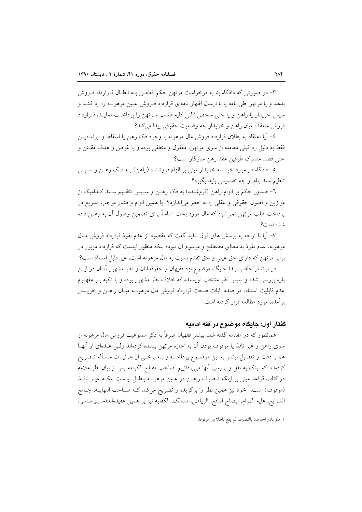۳- در صورتی که دادگاه بنا به درخواست مرتهن حکم قطعـی بـه ابطـال قـرارداد فـروش بدهد و یا مرتهن طی نامه یا با ارسال اظهار نامهای قرارداد فـروش عـین مرهونـه را رد کنـد و سپس خریدار یا راهن و یا حتی شخص ثالثی کلیه طلب مـرتهن را پرداخـت نمایـد، قـرارداد فروش منعقده ميان راهن و خريدار چه وضعيت حقوقي پيدا مي كند؟

٤– آيا اعتقاد به بطلان قرارداد فروش مال مرهونه با وجود فک رهن يا اسقاط و ابراء ديــز فقط به دلیل رد قبلی معامله از سوی مرتهن، معقول و منطقی بوده و با غرض و هدف مقـنن و حتى قصد مشترك طرفين عقد رهن سازگار است؟

٥- دادگاه در مورد خواسته خريدار مبني بر الزام فروشنده (راهن) بــه فــک رهــن و ســيس تنظیم سند بنام او چه تصمیمی باید بگیرد؟

٦- صدور حکم بر الزام راهن (فروشنده) به فک رهـن و سـيس تنظـيم سـند کـداميک از موازين و اصول حقوقي و عقلي را به خطر مي|ندازد؟ آيا همين الزام و فشار موجب تسريع در پرداخت طلب مرتهن نمی شود که مال مورد بحث اساساً برای تضمین وصول آن به رهـن داده شده است؟

۷– آیا با توجه به پرسش های فوق نباید گفت که مقصود از عدم نفوذ قرارداد فروش مـال مرهونه، عدم نفوذ به معنای مصطلح و مرسوم آن نبوده بلکه منظور اینست که قرارداد مزبور در برابر مرتهن كه داراي حق عيني و حق تقدم نسبت به مال مرهونه است، غير قابل استناد است؟

در نوشتار حاضر ابتدا جایگاه موضوع نزد فقیهان و حقوقدانان و نظر مشهور آنـان در ایــن باره بررسی شده و سپس نظر منتخب نویسنده که خلاف نظر مشهور بوده و با تکیه بـر مفهــوم عدم قابلیت استناد، در صدد اثبات صحت قرارداد فروش مال مرهونـه میـان راهـن و خریـدار بر آمده، مورد مطالعه قرار گرفته است.

### گفتار اول: جايگاه موضوع در فقه اماميه

همانطور که در مقدمه گفته شد، بیشتر فقهیان صرفاً به ذکر ممنوعیت فروش مال مرهونه از سوی راهن و غیر نافذ یا موقوف بودن آن به اجازه مرتهن بسنده کردهاند ولـم عـدهای از آنهـا هم با دقت و تفصیل بیشتر به این موضـوع پرداختــه و بــه برخــی از جزئیــات مــسأله تــصریح کردهاند که اینک به نقل و بررسی آنها میپردازیم: صاحب مفتاح الکرامه پس از بیان نظر علامه در کتاب قواعد مبنی بر اینکه تـصرف راهــن در عــین مرهونــه باطــل نیــست بلکــه غیــر نافــذ (موقوف) است، ٰ خود نیز همین نظر را برگزیده و تصریح میکند کـه صـاحب النهایــه، جــامع الشرايع، غايه المرام، ايضاح النافع، الرياض، مسالك، الكفايه نيز بر همين عقيدهاند(حسيني عـاملي ،

١. فلو بادر احدهما بالتصرف لم يقع باطلا بل موقوفا.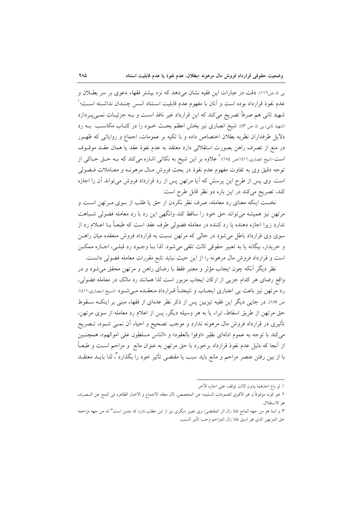بی تا ص١١٦). دقت در عبارات این فقیه نشان میدهد که نزد بیشتر فقهاء دعوی بر سر بطلان و عدم نفوذ قرارداد بوده است و آنان با مفهوم عدم قابليت اسـتناد انـس چنـدان نداشـته اسـت؛ ' شهید ثانی هم صرفاً تصریح میکند که این قرارداد غیر نافذ است و بـه جزئیـات نمـیپـردازد (شهید ثانی، بی تا، ص ۸۳). شیخ انصاری نیز بخش اعظم بحث خـود را در کتـاب مکاسـب بــه رد دلایل طرفداران نظریه بطلان اختصاص داده و با تکیه بر عمومات، اجماع و روایاتی که ظهـور در منع از تصرف راهن بصورت استقلالي دارد معتقد به عدم نفوذ عقد يا همان عقـد موقــوف است (شیخ انصاری،۱٤١١،ص ١٨٤)؛<sup>۲</sup> علاوه بر این شیخ به نکات<sub>ی</sub> اشاره میکند که بــه حــق حــاکـی از توجه دقیق وی به تفاوت مفهوم عدم نفوذ در بحث فروش مـال مرهونـه و معـاملات فـضولي است. وی پس از طرح این پرسش که آیا مرتهن پس از رد قرارداد فروش میتواند آن را اجازه كند، تصريح مي كند در اين باره دو نظر قابل طرح است:

نخست اینکه معنای رد معامله، صرف نظر نکردن از حق یا طلب از سوی مـرتهن اسـت و مرتهن نیز همیشه می تواند حق خود را ساقط کند وانگهی این رد با رد معامله فضولی شـباهت ندارد زیرا اجازه دهنده یا رد کننده در معامله فضولی طرف عقد است که طبعـاً بــا اعــلام رد از سوی وی قرارداد باطل می شود در حالی که مرتهن نسبت به قرارداد فروش منعقده میان راهـن و خريدار، بيگانه يا به تعبير حقوقي ثالث تلقى مى شود. لذا بـا وجـود رد قبلـي، اجـازه ممكـن است و قرارداد فروش مال مرهونه را از این حیث نباید تابع مقررات معامله فضولی دانست.

نظر دیگر آنکه چون ایجاب مؤثر و معتبر فقط با رضای راهن و مرتهن محقق میشود و در واقع رضای هر کدام جزیبی از ارکان ایجاب مزبور است لذا همانند رد مالک در معامله فضولی، رد مرتهن نیز باعث بی اعتباری ایجـاب و نتیجتـاً قـرارداد منعقـده مـیشـود (شـیخ انـصاری،۱٤۱۱، ص ١٨٩). در جایی دیگر این فقیه تیزبین پس از ذکر نظر عدهای از فقهاء مبنی بر اینکـه سـقوط حق مرتهن از طریق اسقاط، ابراء یا به هر وسیله دیگر، پس از اعلام رد معامله از سوی مرتهن، تأثیری در قرارداد فروش مال مرهونه ندارد و موجب تصحیح و احیاء آن نمــی شــود، تــصریح مي كند با توجه به عموم ادلهاى نظير «اوفوا بالعقود» و «الناس مسلطون على اموالهم»، همچنـين از اّنجا که دلیل عدم نفوذ قرارداد برخورد با حق مرتهن به عنوان مانع ً و مزاحم است و طبعـاً با از بين رفتن عنصر مزاحم و مانع بايد سبب يا مقتضى تأثير خود را بگذارد"، لذا بايــد معتقــد

١. لو باع احدهما بدون الاذن توقف على اجازه الأخر.

٢. هو كونه موقوفاً و هو الاقوى للعمومات السليمه عن المخصص، لان معقد الاجماع و الاخبار الظاهره في المنع عن التـصرف هو الاستقلال.

٣. و انما هو من جهه المانع فاذا زال اثر المقتضى؛ وى تعبير ديگرى نيز از اين مطلب دارد كه چنين است" انه من جهه مزاحمه حق المرتهن الذي هو اسبق فاذا زال المزاحم وجب تأثير السبب.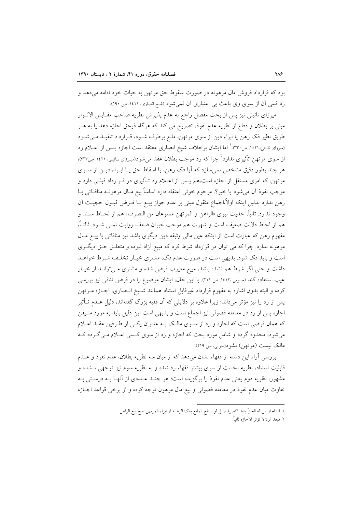بود که قرارداد فروش مال مرهونه در صورت سقوط حق مرتهن به حیات خود ادامه می دهد و رد قبلی آن از سوی وی باعث بی اعتباری آن نمی شود (شیخ انصاری، ۱٤١١، ص ۱۹۰).

میرزای نائینی نیز پس از بحث مفصل راجع به عدم پذیرش نظریه صاحب مقـابس الانــوار مبنی بر بطلان و دفاع از نظریه عدم نفوذ، تصریح می کند که هرگاه ذیحق اجازه دهد یا به هــر طریق نظیر فک رهن یا ابراء دین از سوی مرتهن، مانع برطرف شـود، قـرارداد تنفیـذ مـیشـود (میرزای نائینی،۱٤٢۱، ص۳۳۰)؛ ٰ اما ایشان برخلاف شیخ انصاری معتقد است اجازه پــس از اعــلام رد از سوی مرتهن تأثیری ندارد ٔ چرا که رد موجب بطلان عقد میشود(میرزای نـائینی، ۱٤۲۱، ص۳۳۳)، هر چند بطور دقیق مشخص نمی سازد که آیا فک رهن، یا اسقاط حق پــا ابـراء دیــن از ســوی مرتهن، که امری مستقل از اجازه است،هم پــس از اعــلام رد تــأثیری در قــرارداد قبلــی دارد و موجب نفوذ أن مي شود يا خير؟. مرحوم خوئي اعتقاد دارد اساساً بيع مـال مرهونــه منافــاتـي بــا رهن ندارد بدليل اينكه اولأ،اجماع منقول مبنى بر عدم جواز بيــع بــا فــرض قبــول حجيــت اَن وجود ندارد. ثانياً، حديث نبوي «الراهن و المرتهن ممنوعان من التصرف» هم از لحـاظ سـند و هم از لحاظ دلالت ضعيف است و شهرت هم موجب جبران ضعف روايت نمـي شـود. ثالثـاً، مفهوم رهن كه عبارت است از اينكه عين مالي وثيقه دين ديگرى باشد نيز منافاتي با بيــع مــال مرهونه ندارد. چرا که می توان در قرارداد شرط کرد که مبیع آزاد نبوده و متعلـق حـق دیگـری است و باید فک شود. بدیهی است در صورت عدم فک، مشتری خیـار تخلـف شـرط خواهـد داشت و حتی اگر شرط هم نشده باشد، مبیع معیوب فرض شده و مشتری مـیتوانـد از خیـار عیب استفاده کند (حـویی ١٤١٢، ص ٢١١). با این حال، ایشان موضوع را در فرض تنافی نیز بررسی كرده و البته بدون اشاره به مفهوم قرارداد غيرقابل استناد همانند شـيخ انـصارى، اجـازه مـرتهن پس از رد را نیز مؤثر میداند؛ زیرا علاوه بر دلایلی که آن فقیه بزرگ گفتهاند، دلیل عــدم تــأثیر اجازه پس از رد در معامله فضولی نیز اجماع است و بدیهی است این دلیل باید به مورد متـیقن که همان فرضی است که اجازه و رد از سـوی مالـک بـه عنـوان یکـی از طـرفین عقـد اعـلام می شود، محدود گردد و شامل مورد بحث که اجازه و رد از سوی کسی اعـلام مـی گـردد کـه مالک نیست (مرتھن) نشود(خویی، ص ۲۱۹).

بررسی آراء این دسته از فقهاء نشان میدهد که از میان سه نظریه بطلان، عدم نفوذ و عـدم قابلیت استناد، نظریه نخست از سوی بیشتر فقهاء رد شده و به نظریه سوم نیز توجهی نـشده و مشهور، نظریه دوم یعنی عدم نفوذ را برگزیده است؛ هر چنـد عـدهای از آنهـا بــه درسـتی بــه تفاوت میان عدم نفوذ در معامله فضولی و بیع مال مرهون توجه کرده و از برخی قواعد اجبازه

> ١. اذا اجاز من له الحقِّ ينفذ التصرف، بل لو ارتفع المانع بفكِّ الرهانه او ابراء المرتهن صحَّ بيع الراهن. ٢. فبعد الردّ لا تؤثر الاجازه ثانياً.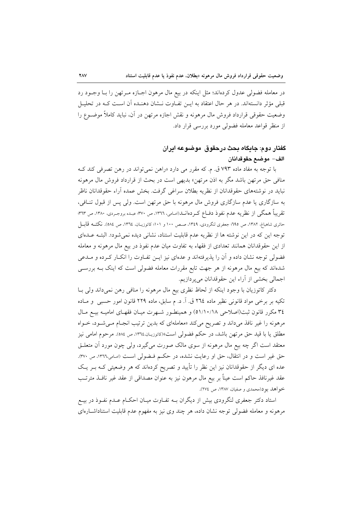در معامله فضولی عدول کردهاند؛ مثل اینکه در بیع مال مرهون اجـازه مـرتهن را بـا وجـود رد قبلی مؤثر دانستهاند. در هر حال اعتقاد به ایــن تفــاوت نــشان دهـنـده آن اســت کــه در تحليــل وضعیت حقوقی قرارداد فروش مال مرهونه و نقش اجازه مرتهن در آن، نباید کاملاً موضـوع را از منظر قواعد معامله فضولی مورد بررسی قرار داد.

# گفتار دوم: جايگاه بحث درحقوق ًموضوعه ايران الف– موضع حقوقدانان

با توجه به مفاد ماده ۷۹۳ ق. م. که مقرر می دارد «راهن نمیتواند در رهن تصرفی کند ک منافی حق مرتهن باشد مگر به اذن مرتهن» بدیهی است در بحث از قرارداد فروش مال مرهونه نباید در نوشتههای حقوقدانان از نظریه بطلان سراغی گرفت. بخش عمده آراء حقوقدانان ناظر به سازگاری یا عدم سازگاری فروش مال مرهونه با حق مرتهن است. ولی پس از قبول تنــافی، تقریباً همگی از نظریه عدم نفوذ دفــاع کــردهانــد(اسـامی، ١٣٦٦، ص ٣٧٠؛ عبـده بروجـردی، ١٣٨٠، ص ٣٦٣؛ حائري شاهباغ، ١٣٨٢، ص ١٩٩: جعفري لنگرودي، ١٣٤٩، صـص ١٠٠ و ١٠١؛ كاتوزيــان، ١٣٦٤، ص ٥٨٤). نكتــه قابــل توجه این که در این نوشته ها از نظریه عدم قابلیت استناد، نشانی دیده نمی شود؛. البتـه عـدهای از این حقوقدانان همانند تعدادی از فقهاء به تفاوت میان عدم نفوذ در بیع مال مرهونه و معامله فضولي توجه نشان داده و آن را يذيرفتهاند و عدماي نيز ايـن تفــاوت را انكــار كــرده و مــدعى شدهاند که بیع مال مرهونه از هر جهت تابع مقررات معامله فضولی است که اینک بــه بررســی اجمالی بخشی از آراء این حقوقدانان میپردازیم.

دکتر کاتوزیان با وجود اینکه از لحاظ نظری بیع مال مرهونه را منافی رهن نمیداند ولی بـا تکیه بر برخی مواد قانونی نظیر ماده ٢٦٤ ق. آ. د. م سابق، ماده ٢٢٩ قانون امور حسبی و مـاده ٣٤ مكرر قانون ثبت(اصلاحي ٥١/١٠/١٨) و همينطـور شـهرت ميـان فقهـاي اماميـه بيـع مـال مرهونه را غیر نافذ میداند و تصریح میکند «معاملهای که بدین ترتیب انجـام مـیشـود، خـواه مطلق یا با قید حق مرتهن باشد، در حکم فضولی است»(کاتوزیـان،۱۳۶٤، ص ٥٨٤). مرحوم امامی نیز معتقد است اگر چه بیع مال مرهونه از سوی مالک صورت میگیرد، ولی چون مورد آن متعلـق حق غیر است و در انتقال، حق او رعایت نشده، در حکم فیضولی است (امامی،١٣٦٦، ص ٣٧٠). عده ای دیگر از حقوقدانان نیز این نظر را تأیید و تصریح کردهاند که هر وضعیتی کـه بــر یــک عقد غیرنافذ حاکم است عیناً بر بیع مال مرهون نیز به عنوان مصداقی از عقد غیر نافــذ مترتــب خو اهد بو د(محمدي و صفيان، ١٣٨٧، ص ٢٧٤).

استاد دکتر جعفری لنگرودی بیش از دیگران بـه تفـاوت میـان احکـام عـدم نفـوذ در بیـع مرهونه و معامله فضولي توجه نشان داده، هر چند وي نيز به مفهوم عدم قابليت استناداشــارهاي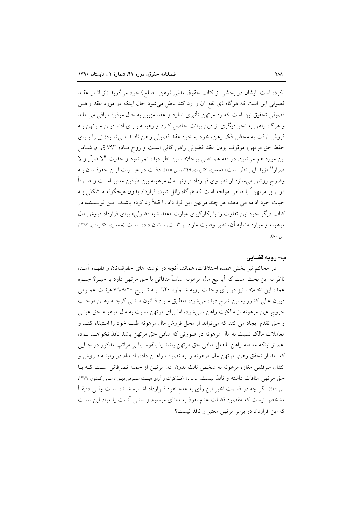نكرده است. ايشان در بخشى از كتاب حقوق مدنى (رهن- صلح) خود مى گويد «از آثـار عقــد فضولی این است که هرگاه ذی نفع آن را رد کند باطل می شود حال اینکه در مورد عقد راهـن فضولي تحقيق اين است كه رد مرتهن تأثيري ندارد و عقد مزبور به حال موقوف باقي مي ماند و هرگاه راهن به نحو دیگری از دین برائت حاصل کـرد و رهینــه بـرای اداء دیــن مــرتهن بــه فروش نرفت به محض فک رهن، خود به خود عقد فضولی راهن نافـذ مـی شـود؛ زیــرا بــرای حفظ حق مرتهن، موقوف بودن عقد فضولي راهن كافي است و روح مـاده ٧٩٣ ق. م. شـامل اين مورد هم مي شود. در فقه هم نصبي برخلاف اين نظر ديده نمي شود و حديث "لا ضرَّر و لا ضرار" مؤيد اين نظر است» (جعفري لنگرودي،١٣٤٩، ص ١٠٥). دقـت در عبــارات ايــن حقوقــدان بــه وضوح روشن می سازد از نظر وی قرارداد فروش مال مرهونه بین طرفین معتبر اسـت و صـرفاً در برابر مرتهن ً با مانعی مواجه است که هرگاه زائل شود، قرارداد بدون هیچگونه مــشکلی بــه حیات خود ادامه می دهد، هر چند مرتهن این قرارداد را قبلاً رد کرده باشــد. ایــن نویــسنده در کتاب دیگر خود این تفاوت را با بکارگیری عبارت «عقد شبه فضولی» برای قرارداد فروش مال مرهونه و موارد مشابه آن، نظیر وصیت مازاد بر ثلث، نـشان داده اسـت (جعفـرى لنگـرودى، ١٣٨٢، ص ۸۰).

### ب- رويه قضايي

در محاکم نیز بخش عمده اختلافات، همانند أنچه در نوشته های حقوقدانان و فقهـاء أمـد، ناظر به این بحث است که آیا بیع مال مرهونه اساساً منافاتی با حق مرتهن دارد یا خیــر؟ جلــوه عمده این اختلاف نیز در رأی وحدت رویه شــماره ٦٢٠ بــه تــاریخ ٧٦/٨/٢٠ هیئــت عمــومی دیوان عالی کشور به این شرح دیده می شود: «مطابق مـواد قـانون مـدنی گرچـه رهـن موجـب خروج عین مرهونه از مالکیت راهن نمیشود، اما برای مرتهن نسبت به مال مرهونه حق عینـی و حق تقدم ايجاد مي كند كه مي تواند از محل فروش مال مرهونه طلب خود را استيفاء كنـد و معاملات مالک نسبت به مال مرهونه در صورتی که منافی حق مرتهن باشد نافذ نخواهـد بـود، اعم از اينكه معامله راهن بالفعل منافي حق مرتهن باشد يا بالقوه. بنا بر مراتب مذكور در جـايي که بعد از تحقق رهن، مرتهن مال مرهونه را به تصرف راهـن داده، اقـدام در زمينـه فـروش و انتقال سرقفلی مغازه مرهونه به شخص ثالث بدون اذن مرتهن از جمله تصرفاتی است کـه بـا حق مرتهن منافات داشته و نافذ نيست، .......» (مـذاكرات و أراى هيئـت عمـومى ديـوان عـالى كـشور، ١٣٧٦، ص ٤٣٤). اگر چه در قسمت اخير اين رأى به عدم نفوذ قـرارداد اشــاره شــده اســت ولــي دقيقــاً مشخص نیست که مقصود قضات عدم نفوذ به معنای مرسوم و سنتی آنست یا مراد این است كه اين قرارداد در برابر مرتهن معتبر و نافذ نيست؟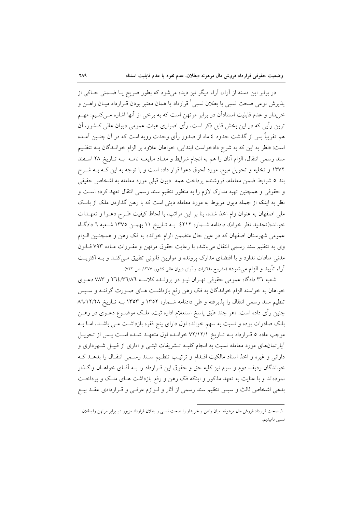در برابر این دسته از آراء، آراء دیگر نیز دیده میشود که بطور صریح یــا ضــمنی حــاکی از يذيرش نوعي صحت نسبي يا بطلان نسبي ٰ قرارداد يا همان معتبر بودن قـرارداد ميــان راهــن و خریدار و عدم قابلیت استنادآن در برابر مرتهن است که به برخی از آنها اشاره مـیکنـیم: مهـم ترین رأیی که در این بخش قابل ذکر است، رأی اصراری هیئت عمومی دیوان عالی کــشور، آن هم تقریباً پس از گذشت حدود ٤ ماه از صدور رأی وحدت رویه است که در آن چنــین آمــده است: «نظر به این که به شرح دادخواست ابتدایی، خواهان علاوه بر الزام خوانـدگان بــه تنظـیم سند رسمی انتقال، الزام آنان را هم به انجام شرایط و مفـاد مبایعــه نامــه بــه تــاریخ ۲۸ اســفند ۱۳۷۲ و تخلیه و تحویل مبیع، مورد لحوق دعوا قرار داده است و با توجه به این کـه بـه شـرح بند ٥ شرايط ضمن معامله، فروشنده پرداخت همه ديون قبلي مورد معامله به اشخاص حقيقي و حقوقی و همچنین تهیه مدارک لازم را به منظور تنظیم سند رسمی انتقال تعهد کرده است و نظر به اینکه از جمله دیون مربوط به مورد معامله دینی است که با رهن گذاردن ملک از بانک ملی اصفهان به عنوان وام اخذ شده، بنا بر این مراتب، با لحاظ کیفیت طـرح دعــوا و تعهــدات خوانده(تجدید نظر خواه)، دادنامه شـماره ٤٢١٢ بـه تـاریخ ١١ بهمـن ١٣٧٥ شـعبه ٦ دادگـاه عمومی شهرستان اصفهان که در عین حال متضمن الزام خوانده به فک رهن و همچنـین الـزام وی به تنظیم سند رسمی انتقال میباشد، با رعایت حقوق مرتهن و مقـررات مـاده ۷۹۳ قـانون مدنی منافات ندارد و با اقتضای مدارک پرونده و موازین قانونی تطبیق مـیکنـد و بـه اکثریـت اّراء تأييد و الزام مي شود» (مشروح مذاكرات و اَراى ديوان عالى كشور، ١٣٧٧، ص ٧٢٢.

شعبه ٣٦ دادگاه عمومی حقوقی تهـران نیـز در پرونـده کلاسـه ٢٦٤/٣٦/٨٦ و ٧٨٣ دعـوی خواهان به خواسته الزام خواندگان به فک رهن رفع بازداشت هـای صـورت گرفتـه و سـپس تنظیم سند رسمی انتقال را پذیرفته و طی دادنامه شـماره ۱۳۵۲ و ۱۳۵۳ بـه تـاریخ ۸٦/١٢/٢٨ چنین رأی داده است: «هر چند طبق پاسخ استعلام اداره ثبت، ملک موضــوع دعــوی در رهــن بانک صادرات بوده و نسبت به سهم خوانده اول دارای پنج فقره بازداشت مـی باشـد، امــا بــه موجب ماده ٥ قـرارداد بـه تـاريخ ٧٢/١٢/١ خوانـده اول متعهـد شـده اسـت پـس از تحويـل آپارتمانهای مورد معامله نسبت به انجام کلیـه تـشریفات ثبتـی و اداری از قبیـل شـهرداری و دارائی و غیره و اخذ اسناد مالکیت اقـدام و ترتیـب تنظـیم سـند رسـمی انتقـال را بدهـد کـه خواندگان ردیف دوم و سوم نیز کلیه حق و حقوق این قـرارداد را بـه آقـای خواهـان واگـذار نمودهاند و با عنایت به تعهد مذکور و اینکه فک رهن و رفع بازداشت هـای ملـک و پرداخـت بدهی اشخاص ثالث و سپس تنظیم سند رسمی از آثار و لـوازم عرفـی و قـراردادی عقـد بیـع

١. صحت قرارداد فروش مال مرهونه ً ميان راهن و خريدار را صحت نسبي و بطلان قرارداد مزبور در برابر مرتهن را بطلان نسبي ناميديم.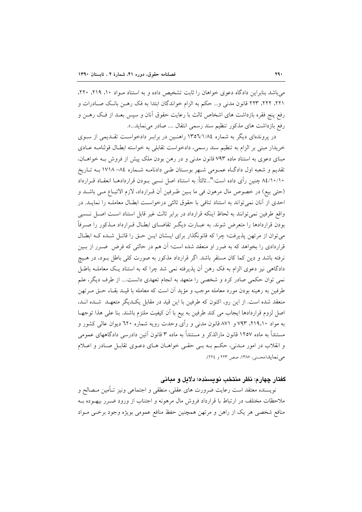می باشد بنابراین دادگاه دعوی خواهان را ثابت تشخیص داده و به استناد مـواد ۱۰، ۲۱۹، ۲۲۰، ٢٢١، ٢٢٢، ٢٢٣ قانون مدنى و... حكم به الزام خواندگان ابتدا به فک رهـن بانـک صـادرات و رفع پنج فقره بازداشت های اشخاص ثالث با رعایت حقوق آنان و سپس بعـد از فـک رهــن و رفع بازداشت های مذکور تنظیم سند رسمی انتقال .... صادر می نماید...».

در پروندهای دیگر به شماره ۱۳۵٦/۱/۸٤ راهنین در برابر دادخواست تقلدیمی از سوی خريدار مبني بر الزام به تنظيم سند رسمي، دادخواست تقابلي به خواسته ابطـال قولنامـه عـادي مبنای دعوی به استناد ماده ۷۹۳ قانون مدنی و در رهن بودن ملک پیش از فروش بـه خواهـان، تقدیم و شعبه اول دادگاه عمـومی شـهر بوسـتان طـی دادنامـه شـماره ۸٤– ۱۷۱۸ بـه تـاریخ ۸٤/۱۰/۱۰ چنین رأی داده است:"...ثالثاً: به استناد اصل نسبی بــودن قراردادهــا انعقــاد قــرارداد (حتى بيع) در خصوص مال مرهون في ما بـين طـرفين أن قـرارداد، لازم الاتبـاع مـي باشـد و احدی از آنان نمی تواند به استناد تنافی با حقوق ثالثی درخواست ابطـال معاملــه را نمایــد. در واقع طرفین نمی توانند به لحاظ اینکه قرارداد در برابر ثالث غیر قابل استناد است اصل نسبی بودن قراردادها را متعرض شوند. به عبـارت ديگـر تقاضـاي ابطـال قـرارداد مـذکور را صـرفاً می توان از مرتهن پذیرفت؛ چرا که قانونگذار برای ایــشان ایــن حــق را قائــل شــده کــه ابطــال قراردادی را بخواهد که به ضرر او منعقد شده است؛ آن هم در حالتی که فرض ضـرر از بـین نرفته باشد و دین کما کان مستقر باشد. اگر قرارداد مذکور به صورت کلی باطل بـود، در هـیچ دادگاهی نیز دعوی الزام به فک رهن آن پذیرفته نمی شد چرا که به استناد یک معاملـه باطـل نمی توان حکمی صادر کرد و شخصی را متعهد به انجام تعهدی دانست.... از طرف دیگر، علم طرفین به رهینه بودن مورد معامله موجب و مؤید آن است که معامله با قیـد بقـاء حــق مــرتهن منعقد شده است. از این رو، اکنون که طرفین با این قید در مقابل یک دیگر متعهـد شـده انـد، اصل لزوم قراردادها ايجاب مي كند طرفين به بيع با آن كيفيت ملتزم باشند. بنا على هذا توجهـا به مواد ۲۱۹،۱۰، ۷۹۳ و ۸۷۱ قانون مدنی و رأی وحدت رویه شماره ٦۲۰ دیوان عالی کشور و مستنداً به ماده ۱۲۵۷ قانون مارالذکر و مستنداً به ماده ۳ قانون آئین دادرسی دادگاههای عمومی و انقلاب در امور مـدنی، حکـم بـه بـی حقـی خواهـان هـای دعـوی تقابـل صـادر و اعـلام می نمایل(محسنه، ۱۳۸۷، صص ۲۲۳ و ۲۲٤).

### گفتار چهارم: نظر منتخب نویسنده؛ دلایل و مبانی

نويسنده معتقد است رعايت ضرورت هاى عقلى، منطقى و اجتماعى ونيز تـأمين مـصالح و ملاحظات مختلف در ارتباط با قرارداد فروش مال مرهونه و اجتناب از ورود ضـرر بيهــوده بــه منافع شخصي هر يک از راهن و مرتهن همچنين حفظ منافع عمومي بويژه وجود برخـي مـواد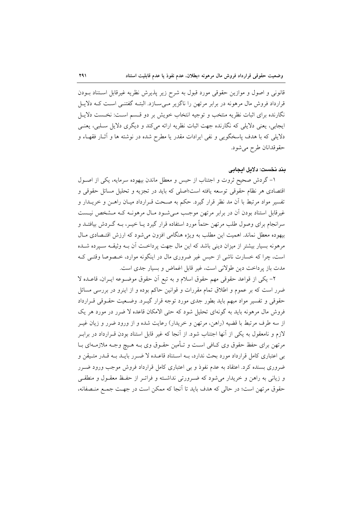قانونی و اصول و موازین حقوقی مورد قبول به شرح زیر پذیرش نظریه غیرقابل استناد بـودن قرارداد فروش مال مرهونه در برابر مرتهن را ناگزیر مے سازد. البتـه گفتنـی اسـت کــه دلایـل نگارنده برای اثبات نظریه منتخب و توجیه انتخاب خویش بر دو قسم است: نخست دلایـل ایجابی، یعنی دلایلی که نگارنده جهت اثبات نظریه ارائه میکند و دیگری دلایل سـلبی، یعنـی دلایلی که با هدف پاسخگویی و نفی ایرادات مقدر یا مطرح شده در نوشته ها و آثـار فقهـاء و حقوقدانان طرح مي شود.

## بند نخست: دلایل ایجابی

۱– گردش صحیح ثروت و اجتناب از حبس و معطل ماندن بیهوده سرمایه، یکی از اصـول اقتصادی هر نظام حقوقی توسعه یافته است؛اصلی که باید در تجزیه و تحلیل مسائل حقوقی و تفسیر مواد مرتبط با آن مد نظر قرار گیرد. حکم به صـحت قــرارداد میــان راهــن و خریــدار و غیرقابل استناد بودن آن در برابر مرتهن موجب مـیشـود مـال مرهونـه کـه مـشخص نیـست سرانجام برای وصول طلب مرتهن حتماً مورد استفاده قرار گیرد یــا خیــر، بــه گــردش بیافتــد و بیهوده معطل نماند. اهمیت این مطلب به ویژه هنگامی افزون میشود که ارزش اقتـصادی مـال مرهونه بسیار بیشتر از میزان دینی باشد که این مال جهت پرداخـت آن بــه وثیقــه ســپرده شــده است، چرا که خسارت ناشی از حبس غیر ضروری مال در اینگونه موارد، خـصوصا وقتـی کـه مدت باز پرداخت دین طولانی است، غیر قابل اغماض و بسیار جدی است.

٢- يكي از قواعد حقوقي مهم حقوق اسلام و به تبع أن حقوق موضـوعه ايـران، قاعـده لا ضرر است که بر عموم و اطلاق تمام مقررات و قوانین حاکم بوده و از اینرو در بررسی مسائل حقوقی و تفسیر مواد مبهم باید بطور جدی مورد توجه قرار گیـرد. وضـعیت حقـوقی قـرارداد فروش مال مرهونه باید به گونهای تحلیل شود که حتی الامکان قاعده لا ضرر در مورد هر یک از سه طرف مرتبط با قضیه (راهن، مرتهن و خریدار) رعایت شده و از ورود ضرر و زیان غیـر لازم و نامعقول به یکی از آنها اجتناب شود. از آنجا که غیر قابل استناد بودن قــرارداد در برابــر مرتهن برای حفظ حقوق وی کـافی اسـت و تـأمین حقـوق وی بـه هـیچ وجـه ملازمـهای بـا بے اعتباری کامل قرارداد مورد بحث ندارد، بـه اسـتناد قاعـده لا ضـرر بايـد بـه قـدر متـيقن و ضروری بسنده کرد. اعتقاد به عدم نفوذ و بی اعتباری کامل قرارداد فروش موجب ورود ضـرر و زیانی به راهن و خریدار میشود که ضـرورتی نداشـته و فراتـر از حفـظ معقـول و منطقـی حقوق مرتهن است؛ در حالي كه هدف بايد تا آنجا كه ممكن است در جهت جمع منصفانه،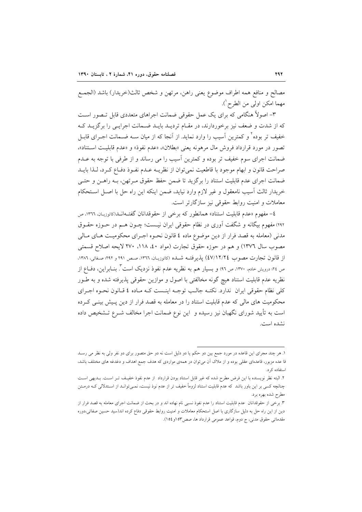مصالح و منافع همه اطراف موضوع يعني راهن، مرتهن و شخص ثالث(خريدار) باشد (الجمـع مهما امكن اولى من الطرح ').

۳– اصولاً هنگامی که برای یک عمل حقوقی ضمانت اجراهای متعددی قابل تـصور اسـت که از شدت و ضعف نیز برخوردارند، در مقـام تردیـد بایـد ضـمانت اجرایـی را برگزیـد کـه خفیف تر بوده<sup>۲</sup> و کمترین آسیب را وارد نماید. از آنجا که از میان ســه ضــمانت اجــرای قابــل تصور در مورد قرارداد فروش مال مرهونه يعني «بطلان»، «عدم نفوذ» و «عدم قابليت استناد»، ضمانت اجرای سوم خفیف تر بوده و کمترین آسیب را می رساند و از طرفی با توجه به عــدم صراحت قانون و ابهام موجود با قاطعیت نمی توان از نظریـه عـدم نفـوذ دفـاع کـرد، لـذا بایـد ضمانت اجرای عدم قابلیت استناد را برگزید تا ضمن حفظ حقوق مـرتهن، بـه راهـن و حتـی خريدار ثالث آسيب نامعقول و غير لازم وارد نيايد، ضمن اينكه اين راه حل با اصـل اسـتحكام معاملات و امنیت روابط حقوقی نیز سازگارتر است.

٤- مفهوم «عدم قابليت استناد» همانطور كه برخي از حقوقدانان گفتـهانـد(كاتوزيـان، ١٣٦٦، ص ٢٩٢) مفهوم بیگانه و شگفت آوری در نظام حقوقی ایران نیـست؛ چــون هــم در حــوزه حقــوق مدنی (معامله به قصد فرار از دین موضوع ماده ٤ قانون نحـوه اجـرای محکومیـت هـای مـالی مصوب سال ١٣٧٦) و هم در حوزه حقوق تجارت (مواد ٤٠، ١١٨، ٢٧٠ لايحه اصلاح قسمتي از قانون تجارت مصوب ٤٧/١٢/٢٤) يذيرفتـه شـده (كاتوزيـان ١٣٦٦، صـص ٢٩١ و ٢٩٢: صـفائي، ١٣٨٦. ص ٢٤؛ درویش خادم، ١٣٧٠، ص ٩٦) و بسیار هم به نظریه عدم نفوذ نزدیک است ". بنــابراین، دفــاع از نظريه عدم قابليت استناد هيچ گونه مخالفتي با اصول و موازين حقوقي پذيرفته شده و به طـور كلي نظام حقوقي ايران ندارد. نكتـه جالـب توجـه اينـست كـه مـاده ٤ قـانون نحـوه اجـراي محکومیت های مالی که عدم قابلیت استناد را در معامله به قصد فرار از دین پـیش بینـی کـرده است به تأیید شورای نگهبان نیز رسیده و این نوع ضمانت اجرا مخالف شــرع تــشخیص داده نشده است.

۱. هر چند مجرای این قاعده در مورد جمع بین دو حکم یا دو دلیل است نه دو حق متصور برای دو نفر ولی به نظر می رسـد قا عده مزبور، قاعدهای عقلی بوده و از ملاک آن میتوان در همهی مواردی که هدف جمع اهداف و دغدغه های مختلف باشد، استفاده کرد.

٢. البته نظر نويسنده با اين فرض مطرح شده كه غير قابل استناد بودن قرارداد از عدم نفوذ خفيـف تـر اسـت. بـديهى اسـت چنانچه کسی بر این باور باشد که عدم قابلیت استناد لزوماً خفیف تر از عدم نوذ نیست، نمـیتوانـد از اسـتدلالی کـه درمـتن مطرح شده بهره برد.

۳. برخی از حقوقدانان عدم قابلیت استناد را عدم نفوذ نسبی نام نهاده اند و در بحث از ضمانت اجرای معامله به قصد فرار از دین از این راه حل به دلیل سازگاری با اصل استحکام معاملات و امنیت روابط حقوقی دفاع کرده اند(سید حسین صفائی،دوره مقدماتي حقوق مدني، ج دوم، قواعد عمومي قرارداد ها، صص٥٣و ١٥٤).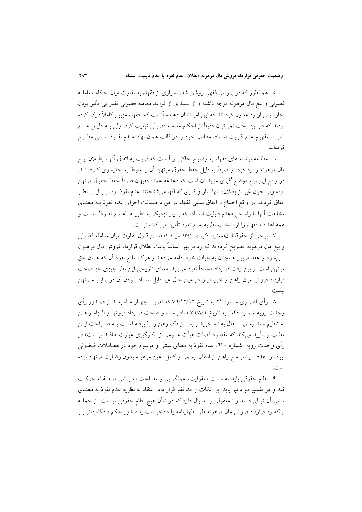٥- همانطور كه در بررسي فقهي روشن شد، بسياري از فقهاء به تفاوت ميان احكام معاملـه فضولی و بیع مال مرهونه توجه داشته و از بسیاری از قواعد معامله فضولی نظیر بی تأثیر بودن اجازه پس از رد عدول کردهاند که این امر نشان دهنده آنست که فقهاء مزبور کاملاً درک کرده بودند که در این بحث نمیٍتوان دقیقاً از احکام معامله فضولی تبعیت کرد، ولی بـه دلیـل عــدم انس با مفهوم عدم قابليت استناد، مطالب خود را در قالب همان نهاد عـدم نفـوذ سـنتـي مطـرح کر دەاند.

٦- مطالعه نوشته هاي فقهاء به وضوح حاكي از آنست كه قريب به اتفاق آنهـا بطـلان بيــع مال مرهونه را رد کرده و صرفاً به دلیل حفظ حقوق مرتهن آن را منوط به اجازه وی کـردهانــد. در واقع این نوع موضع گیری مؤید آن است که دغدغه عمده فقیهان صرفاً حفظ حقوق مرتهن بوده ولي چون غير از بطلان، تنها ساز و كاري كه آنها مي شناختند عدم نفوذ بود، بــر ايــن نظــر اتفاق کردند. در واقع اجماع و اتفاق نسبی فقهاء در مورد ضمانت اجرای عدم نفوذ بـه معنـای مخالفت أنها با راه حل «عدم قابلیت استناد» که بسیار نزدیک به نظریــه "عــدم نفــوذ" اســت و همه اهداف فقهاء را از انتخاب نظريه عدم نفوذ تأمين مي كند، نيست.

٧- برخي از حقوقدانان(جعفري لنگرودي، ١٣٤٩، ص ١٠٥) ضمن قبول تفاوت ميان معامله فضولي و بیع مال مرهونه تصریح کردهاند که رد مرتهن اساساً باعث بطلان قرارداد فروش مال مرهــون نمی شود و عقد مزبور همچنان به حیات خود ادامه میدهد و هرگاه مانع نفوذ آن که همان حق مرتهن است از بین رفت قرارداد مجدداً نفوذ میbیابد. معنای تلویحی این نظر چیزی جز صحت قرارداد فروش میان راهن و خریدار و در عین حال غیر قابل استناد بــودن آن در برابــر مــرتهن .<br>نست.

۸– رأی اصراری شماره ۲۱ به تاریخ ۷٦/۱۲/۱۲ که تقریبـا چهـار مـاه بعــد از صــدور رأی وحدت رويه شماره ٦٢٠ به تاريخ ٧٦/٨/٦ صادر شده و صحت قرارداد فروش و الـزام راهـن به تنظیم سند رسمی انتقال به نام خریدار پس از فک رهن را پذیرفته اسـت بـه صـراحت ایـن مطلب را تأیید میکند که مقصود قضات هیأت عمومی از بکارگیری عبارت «نافـذ نیــست» در رأی وحدت رویه شماره ٦٢٠، عدم نفوذ به معنای سنتی و مرسوم خود در معــاملات فــضولـی نبوده و ً هدف بیشتر منع راهن از انتقال رسمی و کامل عین مرهونه بدون رضایت مرتهن بوده است.

۹- نظام حقوقی باید به سمت معقولیت، عملگرایی و مصلحت اندیشی منصفانه حرکت کند و در تفسیر مواد نیز باید این نکات را مد نظر قرار داد. اعتقاد به نظریه عدم نفوذ به معنــای سنتی اَن توالی فاسد و نامعقولی را بدنبال دارد که در شأن هیچ نظام حقوقی نیــست: از جملــه اینکه رد قرارداد فروش مال مرهونه طی اظهارنامه یا دادخواست یا صدور حکم دادگاه دائر بـر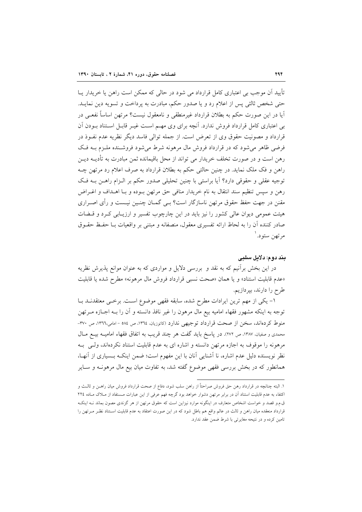تأیید اَن موجب بی اعتباری کامل قرارداد می شود در حالی که ممکن است راهن یا خریدار پــا حتی شخص ثالثی پس از اعلام رد و یا صدور حکم، مبادرت به پرداخت و تسویه دین نمایـد. آيا در اين صورت حكم به بطلان قرارداد غيرمنطقي و نامعقول نيست؟ مرتهن اساساً نفعـي در بی اعتباری کامل قرارداد فروش ندارد. آنچه برای وی مهـم اسـت غیــر قابــل اســتناد بــودن آن قرارداد و مصونیت حقوق وی از تعرض است. از جمله توالی فاسد دیگر نظریه عدم نفـوذ در فرضی ظاهر می شود که در قرارداد فروش مال مرهونه شرط می شود فروشـنده ملـزم بـه فـک رهن است و در صورت تخلف خریدار می تواند از محل باقیمانده ثمن مبادرت به تأدیــه دیــن راهن و فک ملک نماید. در چنین حالتی حکم به بطلان قرارداد به صرف اعلام رد مرتهن چــه توجیه عقلی و حقوقی دارد؟ آیا براستی با چنین تحلیلی صدور حکم بر الـزام راهـن بـه فـک رهن و سيس تنظيم سند انتقال به نام خريدار منافي حق مرتهن بـوده و بـا اهــداف و اغــراض مقنن در جهت حفظ حقوق مرتهن ناسازگار است؟ بـي گمــان چنــين نيــست و رأى اصــراري هیئت عمومی دیوان عالی کشور را نیز باید در این چارچوب تفسیر و ارزیـابی کـرد و قــضات صادر كننده آن را به لحاظ ارائه تفسيري معقول، منصفانه و مبتنى بر واقعيات بــا حفـظ حقـوق مرتهن ستود.ا

#### بند دوم: دلايل سلبي

در این بخش برأنیم که به نقد و ً بررسی دلایل و مواردی که به عنوان موانع پذیرش نظریه «عدم قابليت استناد» و يا همان «صحت نسبي قرارداد فروش مال مرهونه» مطرح شده يا قابليت طرح را دارند، بپردازیم.

١- يكي از مهم ترين ايرادات مطرح شده، سابقه فقهي موضوع است. برخـي معتقدنـد بـا توجه به اینکه مشهور فقهاء امامیه بیع مال مرهون را غیر نافذ دانسته و آن را بـه اجـازه مــرتهن منوط کردهاند، سخن از صحت قرارداد توجیهی ندارد (کاتوزیان، ١٣٦٤، ص ٥٨٤ - امامی،١٣٦٦، ص ٣٧٠-محمدي و صفيان، ١٣٨٧، ص ٢٧٢). در ياسخ بايد گفت هر چند قريب به اتفاق فقهاء اماميـه بيــع مــال مرهونه را موقوف به اجازه مرتهن دانسته و اشاره ای به عدم قابلیت استناد نکردهاند، ولـی بـه نظر نویسنده دلیل عدم اشاره، نا آشنایی آنان با این مفهوم است؛ ضمن اینک ویسیاری از آنهیا، همانطور که در بخش بررسی فقهی موضوع گفته شد، به تفاوت میان بیع مال مرهونــه و ســایر

١. البته چنانچه در قرارداد رهن حق فروش صراحتاً از راهن سلب شود، دفاع از صحت قرارداد فروش ميان راهــن و ثالــث و اکتفاء به عدم قابلیت استناد آن در برابر مرتهن دشوار خواهد بود گرچه فهم عرفی از این عبارات مستفاد از مـلاک مـاده ٢٢٤ ق.م.و قصد و خواست اشخاص متعارف در اینگونه موارد نیزاین است که حقوق مرتهن از هر گزندی مصون بماند نـه اینکـه قرارداد منعقده میان راهن و ثالث در عالم واقع هم باطل شود که در این صورت اعتقاد به عدم قابلیت اسـتناد نظـر مـرتهن را تامین کرده و در نتیحه مغایرتی با شرط ضمن عقد ندارد.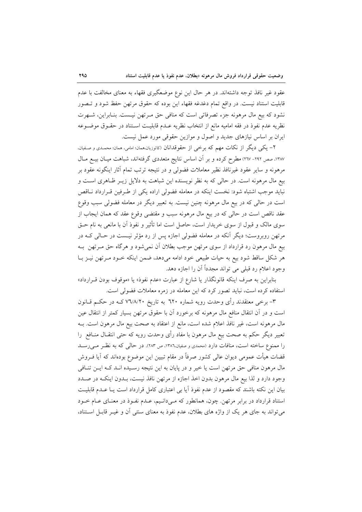عقود غیر نافذ توجه داشتهاند. در هر حال این نوع موضعگیری فقهاء به معنای مخالفت با عدم قابلیت استناد نیست. در واقع تمام دغدغه فقهاء این بوده که حقوق مرتهن حفظ شود و تـصور نشود که بیع مال مرهونه جزء تصرفاتی است که منافی حق مـرتهن نیـست. بنـابراین، شـهرت نظريه عدم نفوذ در فقه اماميه مانع از انتخاب نظريه عـدم قابليـت اسـتناد در حقـوق موضـوعه ایران بر اساس نیازهای جدید و اصول و موازین حقوقی مورد عمل نیست.

۲– یکی دیگر از نکات مهم که برخی از حقوقدانان (کاتوزیان،همان؛ امامی، همان؛ محمـدی و صـفیان، ۱۳۸۷، صص ۲۹۲- ۲۱۷) مطرح کرده و بر آن اساس نتایج متعددی گرفتهاند، شباهت میـان بیــع مــال مرهونه و سایر عقود غیرنافذ نظیر معاملات فضولی و در نتیجه ترتب تمام آثار اینگونه عقود بر بیع مال مرهونه است. در حالی که به نظر نویسنده این شباهت به دلایل زیـر ظـاهری اسـت و نبايد موجب اشتباه شود: نخست اينكه در معامله فضولي اراده يكي از طـرفين قـرارداد نــاقص است در حالی که در بیع مال مرهونه چنین نیست. به تعبیر دیگر در معامله فضولی سبب وقوع عقد ناقص است در حالی که در بیع مال مرهونه سبب و مقتضی وقوع عقد که همان ایجاب از سوی مالک و قبول از سوی خریدار است، حاصل است اما تأثیر و نفوذ آن با مانعی به نام حــق مرتهن روبروست؛ دیگر آنکه در معامله فضولی اجازه پس از رد مؤثر نیـست در حـالـی کــه در بیع مال مرهون رد قرارداد از سوی مرتهن موجب بطلان آن نمیشود و هرگاه حق مـرتهن بـه هر شكل ساقط شود بيع به حيات طبيعي خود ادامه مي دهد، ضمن اينكه خــود مــرتهن نيــز بــا وجود اعلام رد قبلي مي تواند مجدداً أن را اجازه دهد.

بنابراین به صرف اینکه قانونگذار یا شارع از عبارت «عدم نفوذ» یا «موقوف بودن قــرارداد» استفاده کرده است، نباید تصور کرد که این معامله در زمره معاملات فضولی است.

۳– برخی معتقدند رأی وحدت رویه شماره ٦٢٠ به تاریخ ۷٦/٨/٢٠ کــه در حکــم قــانون است و در آن انتقال منافع مال مرهونه که برخورد آن با حقوق مرتهن بسیار کمتر از انتقال عین مال مرهونه است، غیر نافذ اعلام شده است، مانع از اعتقاد به صحت بیع مال مرهون است. بــه تعبیر دیگر حکم به صحت بیع مال مرهون با مفاد رأی وحدت رویه که حتی انتقــال منــافع را را ممنوع ساخته است، منافات دارد (محمدی و صفیان،۱۳۸٦، ص ۲۸۳). در حالی که به نظر می رسـد قضات هیأت عمومی دیوان عالی کشور صرفاً در مقام تبیین این موضوع بودهاند که آیا فــروش مال مرهون منافی حق مرتهن است یا خیر و در پایان به این نتیجه رسـیده انـد کـه ایـن تنـافی وجود دارد و لذا بيع مال مرهون بدون اخذ اجازه از مرتهن نافذ نيست، بـدون اينكـه در صـدد بیان این نکته باشند که مقصود از عدم نفوذ آیا بی اعتباری کامل قرارداد است یـا عـدم قابلیـت استناد قرارداد در برابر مرتهن. چون، همانطور که مـیدانـیم، عـدم نفـوذ در معنـای عـام خـود می تواند به جای هر یک از واژه های بطلان، عدم نفوذ به معنای سنتی آن و غیـر قابـل اسـتناد،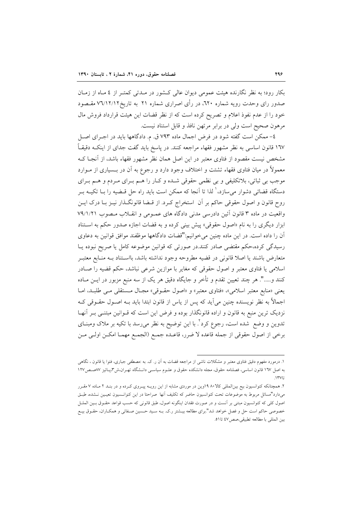بکار رود؛ به نظر نگارنده هیئت عمومی دیوان عالی کـشور در مـدتی کمتـر از ٤ مـاه از زمـان صدور رای وحدت رویه شماره ۲۲۰، در رأی اصراری شماره ۲۱ به تاریخ۷٦/۱۲/۱۲ مقـصود خود را از عدم نفوذ اعلام و تصریح کرده است که از نظر قضات این هیئت قرارداد فروش مال مرهون صحيح است ولي در برابر مرتهن نافذ و قابل استناد نيست.

٤- ممكن است گفته شود در فرض اجمال ماده ٧٩٣ ق. م. دادگاهها بايد در اجـراي اصـل ۱٦۷ قانون اساسی به نظر مشهور فقهاء مراجعه کنند. در پاسخ باید گفت جدای از اینکـه دقیقـاً مشخص نیست مقصود از فتاوی معتبر در این اصل همان نظر مشهور فقهاء باشد، از آنجـا کـه معمولاً در میان فتاوی فقهاء تشتت و اختلاف وجود دارد و رجوع به آن در بــسیاری از مــوارد موجب بي ثباتي، بلاتكليفي و بي نظمي حقوقي شـده و كـار را هـم بـراي مـردم و هـم بـراي دستگاه قضائی دشوار میسازد،<sup>۱</sup> لذا تا آنجا که ممکن است باید راه حل قـضیه را بــا تکیــه بــر روح قانون و اصول حقوقی حاکم بر آن استخراج کـرد. از قــضا قانونگــذار نيــز بــا درک ايــن واقعیت در ماده ۳ قانون آئین دادرسی مدنی دادگاه های عمـومی و انقـلاب مـصوب ۷۹/۱/۲۱ ابزار دیگری را به نام «اصول حقوقی» پیش بینی کرده و به قضات اجازه صدور حکم به استناد آن را داده است. در این ماده چنین می خوانیم:"قضات دادگاهها موظفند موافق قوانین به دعاوی رسیدگی کرده،حکم مقتضی صادر کنند.در صورتی که قوانین موضوعه کامل یا صریح نبوده یـا متعارض باشند يا اصلا قانوني در قضيه مطروحه وجود نداشته باشد، بااسـتناد بــه منــابع معتبــر اسلامی یا فتاوی معتبر و اصول حقوقی که مغایر با موازین شرعی نباشد، حکم قضیه را صـادر کنند و……". هر چند تعیین تقدم و تأخر و جایگاه دقیق هر یک از سه منبع مزبور در ایــن مــاده یعنی «منابع معتبر اسلامی»، «فتاوی معتبر» و «اصول حقـوقی» مجـال مـستقلی مـی طلبـد، امـا اجمالاً به نظر نویسنده چنین می[ید که پس از یاس از قانون ابتدا باید بـه اصـول حقــوقی کــه نزدیک ترین منبع به قانون و اراده قانونگذار بوده و فرض این است که قــوانین مبتنــی بــر آنهــا تدوین و وضع شده است، رجوع کرد ٌ. با این توضیح به نظر می٫رسد با تکیه بر ملاک ومبنــای برخي از اصول حقوقي از جمله قاعده لا ضرر، قاعـده جمـع (الجمـع مهمـا امكـن اولـي مـن

۱. درمورد مفهوم دقیق فتاوی معتبر و مشکلات ناشی از مراجعه قضات به آن ر. ک. به :مصطفی جباری، فتوا یا قانون ، نگاهی به اصل ١٦٧ قانون اساسی، فصلنامه حقوق، مجله دانشکده حقوق و علـوم سیاسـی دانــشگاه تهـران،ش٣،یــائیز ٨٧صـص١٢٧

۲. همچنانکه کنوانسیون بیع بینالمللی کالا۱۹ ۹۰وین در موردی مشابه از این رویـه پیـروی کـرده و در بنـد ۲ مـاده ۷ مقـرر میدارد"مسائل مربوط به موضوعات تحت کنوانسیون حاضر که تکلیف آنها صراحتا در این کنوانسیون تعیـین نـشده، طبـق اصول کلی که کنوانسیون مبتنی بر آنست و در صورت فقدان اینگونه اصول، طبق قانونی که حسب قواعد حقـوق بـین الملـل خصوصی حاکم است حل و فصل خواهد شد".برای مطالعه بیــشتر ر.ک. بــه سـید حــسین صــفائی و همکــاران، حقــوق بیــع بين المللي با مطالعه تطبيقي،صص ٤٧ تا٥١.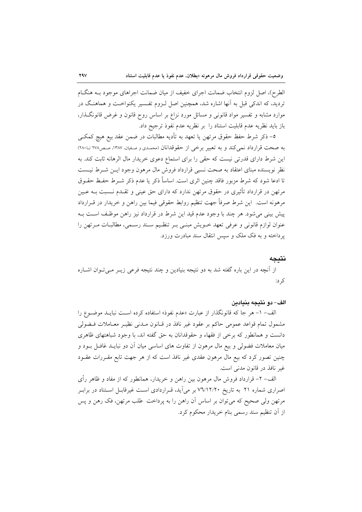الطرح)، اصل لزوم انتخاب ضمانت اجراى خفيف از ميان ضمانت اجراهاى موجود بــه هنگــام تردید، که اندکی قبل به آنها اشاره شد، همچنین اصل لـزوم تفـسیر یکنواخـت و هماهنـگ در موارد مشابه و تفسیر مواد قانونی و مسائل مورد نزاع بر اساس روح قانون و غرض قانونگـذار، باز بايد نظريه عدم قابليت استناد را بر نظريه عدم نفوذ ترجيح داد.

٥– ذكر شرط حفظ حقوق مرتهن يا تعهد به تأديه مطالبات در ضمن عقد بيع هيچ كمكـي به صحت قرارداد نمی کند و به تعبیر برخی از حقوقدانان (محمدی و صفیان، ۱۳۸۷، صص۲۷۸ تــــ۱۲۸۱) این شرط دارای قدرتی نیست که حقی را برای استماع دعوی خریدار مال الرهانه ثابت کند. به نظر نویسنده مبنای اعتقاد به صحت نسبی قرارداد فروش مال مرهون وجود ایــن شــرط نیــست تا ادعا شود که شرط مزبور فاقد چنین اثری است. اساساً ذکر یا عدم ذکر شــرط حفـظ حقــوق مرتهن در قرارداد تأثیری در حقوق مرتهن ندارد که دارای حق عینی و تقــدم نــسبت بــه عــین مرهونه است. این شرط صرفاً جهت تنظیم روابط حقوقی فیما بین راهن و خریدار در قــرارداد پیش بینی می شود. هر چند با وجود عدم قید این شرط در قرارداد نیز راهن موظف است بـه عنوان لوازم قانونی و عرفی تعهد خـویش مبنـی بـر تنظـیم سـند رسـمی، مطالبـات مـرتهن را پرداخته و به فک ملک و سپس انتقال سند مبادرت ورزد.

#### نتىجە

از آنچه در این باره گفته شد به دو نتیجه بنیادین و چند نتیجه فرعی زیـر مـی تـوان اشـاره کر د:

#### الف–دو نتيجه بنيادين

الف- ١- هر جا كه قانونگذار از عبارت «عدم نفوذ» استفاده كرده است نبايــد موضــوع را مشمول تمام قواعد عمومي حاكم بر عقود غير نافذ در قـانون مـدني نظيـر معـاملات فـضولي دانست و همانطور که برخی از فقهاء و حقوقدانان به حق گفته اند، با وجود شباهتهای ظاهری میان معاملات فضولی و بیع مال مرهون از تفاوت های اساسی میان آن دو نبایــد غافــل بــود و چنین تصور کرد که بیع مال مرهون عقدی غیر نافذ است که از هر جهت تابع مقـررات عقـود غير نافذ در قانون مدني است.

الف– ۲– قرارداد فروش مال مرهون بین راهن و خریدار، همانطور که از مفاد و ظاهر رأی اصراری شماره ۲۱ به تاریخ ۷٦/۱۲/۲۰ بر میآید، قـراردادی اسـت غیرقابـل اسـتناد در برابـر مرتهن ولي صحيح كه مي توان بر اساس أن راهن را به پرداخت ًطلب مرتهن، فك رهن و پس از آن تنظیم سند رسمی بنام خریدار محکوم کرد.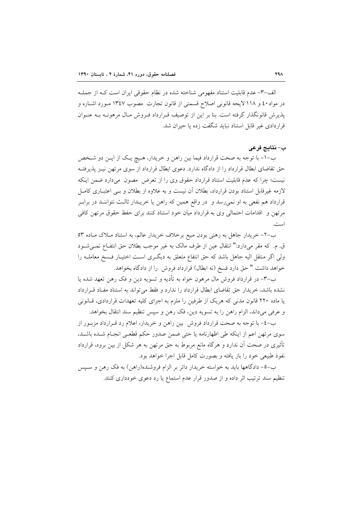الف-٣- عدم قابلیت استناد مفهومی شناخته شده در نظام حقوقی ایران است کـه از جملـه در مواد٤٠ و ١١٨ لايحه قانوني اصلاح قسمتي از قانون تجارت مصوب ١٣٤٧ مـورد اشــاره و پذیرش قانونگذار گرفته است. بنا بر این از توصیف قـرارداد فـروش مـال مرهونــه بــه عنــوان قراردادی غیر قابل استناد نباید شگفت زده یا حیران شد.

#### ب- نتايج فرعي

ب-١- با توجه به صحت قرارداد فيما بين راهن و خريدار، هـيچ يـک از ايـن دو شـخص حق تقاضای ابطال قرارداد را از دادگاه ندارد. دعوی ابطال قرارداد از سوی مرتهن نیـز پذیرفتـه نیست؛ چرا که عدم قابلیت استناد قرارداد حقوق وی را از تعرض مصون ً می(دارد ضمن اینکه لازمه غیرقابل استناد بودن قرارداد، بطلان آن نیست و به علاوه از بطلان و بـی اعتبــاری کامــل قرارداد هم نفعی به او نمیرسد و ً در واقع همین که راهن یا خریــدار ثالـث نتواننــد در برابــر مرتهن و اقدامات احتمالی وی به قرارداد میان خود استناد کنند برای حفظ حقوق مرتهن کافی است.

ب-۲– خریدار جاهل به رهنی بودن مبیع برخلاف خریدار عالم، به استناد مـلاک مـاده ۵۳ ق. م. كه مقر مىدارد:" انتقال عين از طرف مالك به غير موجب بطلان حق انتفـاع نمـى شـود ولی اگر منتقل الیه جاهل باشد که حق انتفاع متعلق به دیگری است اختیـار فـسخ معاملــه را خواهد داشت " حق دارد فسخ (نه ابطال) قرارداد فروش را از دادگاه بخواهد.

ب-٣- در قرارداد فروش مال مرهون خواه به تأديه و تسويه دين و فک رهن تعهد شده يا نشده باشد، خریدار حق تقاضای ابطال قرارداد را ندارد و فقط می تواند به استناد مفاد قـرارداد یا ماده ۲۲۰ قانون مدنی که هریک از طرفین را ملزم به اجرای کلیه تعهدات قراردادی، قـانونی و عرفي مي داند، الزام راهن را به تسويه دين، فك رهن و سپس تنظيم سند انتقال بخواهد.

ب-٤- با توجه به صحت قرارداد فروش بين راهن و خريدار، اعلام رد قـرارداد مزبـور از سوى مرتهن اعم از اينكه طي اظهارنامه يا حتى ضمن صدور حكم قطعي انجـام شـده باشـد، تأثیری در صحت آن ندارد و هرگاه مانع مربوط به حق مرتهن به هر شکل از بین برود، قرارداد نفوذ طبيعي خود را باز يافته و بصورت كامل قابل اجرا خواهد بود.

ب-٥- دادگاهها باید به خواسته خریدار دائر بر الزام فروشنده(راهن) به فک رهن و سـپس تنظیم سند ترتیب اثر داده و از صدور قرار عدم استماع یا رد دعوی خودداری کنند.